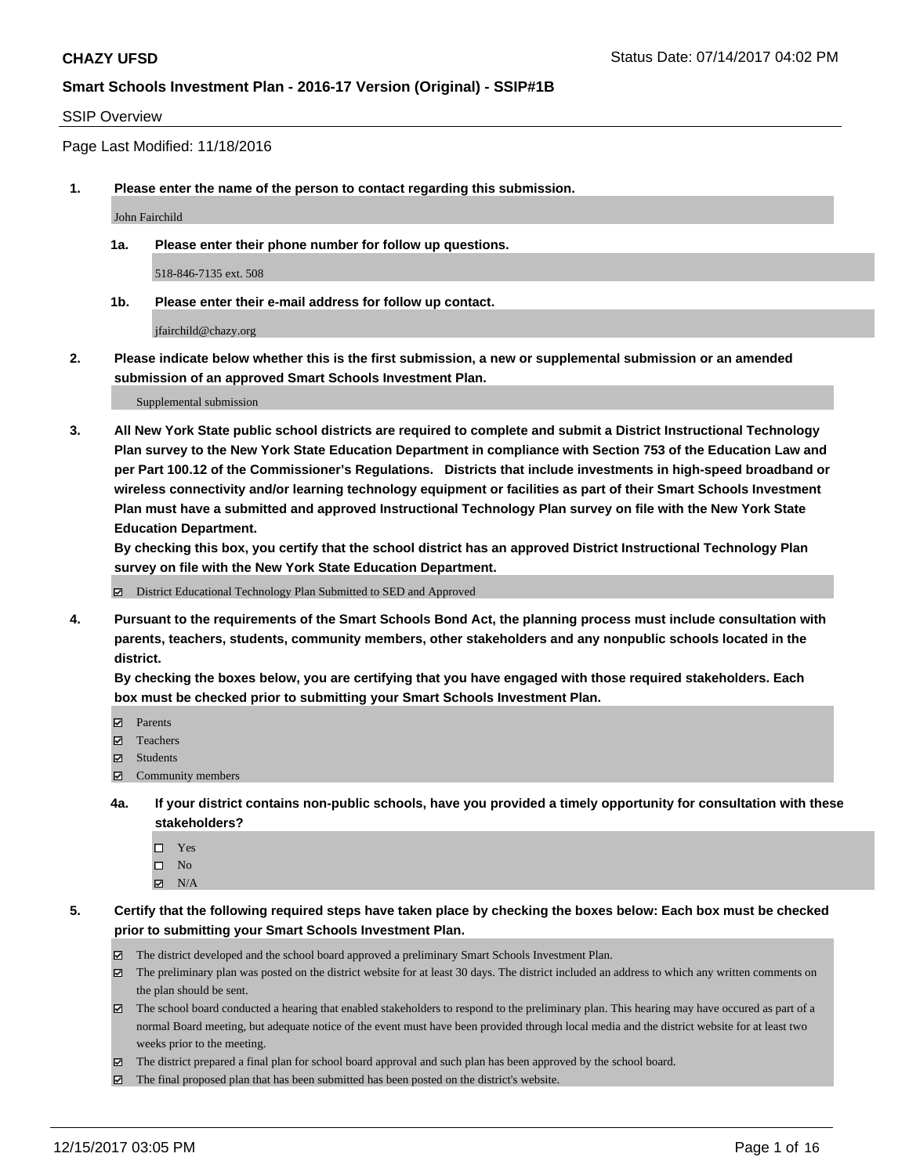#### SSIP Overview

Page Last Modified: 11/18/2016

**1. Please enter the name of the person to contact regarding this submission.**

John Fairchild

**1a. Please enter their phone number for follow up questions.**

518-846-7135 ext. 508

**1b. Please enter their e-mail address for follow up contact.**

jfairchild@chazy.org

**2. Please indicate below whether this is the first submission, a new or supplemental submission or an amended submission of an approved Smart Schools Investment Plan.**

Supplemental submission

**3. All New York State public school districts are required to complete and submit a District Instructional Technology Plan survey to the New York State Education Department in compliance with Section 753 of the Education Law and per Part 100.12 of the Commissioner's Regulations. Districts that include investments in high-speed broadband or wireless connectivity and/or learning technology equipment or facilities as part of their Smart Schools Investment Plan must have a submitted and approved Instructional Technology Plan survey on file with the New York State Education Department.** 

**By checking this box, you certify that the school district has an approved District Instructional Technology Plan survey on file with the New York State Education Department.**

District Educational Technology Plan Submitted to SED and Approved

**4. Pursuant to the requirements of the Smart Schools Bond Act, the planning process must include consultation with parents, teachers, students, community members, other stakeholders and any nonpublic schools located in the district.** 

**By checking the boxes below, you are certifying that you have engaged with those required stakeholders. Each box must be checked prior to submitting your Smart Schools Investment Plan.**

- **マ** Parents
- Teachers
- **☑** Students
- Community members
- **4a. If your district contains non-public schools, have you provided a timely opportunity for consultation with these stakeholders?**
	- □ Yes
	- $\square$  No
	- $\boxtimes$  N/A

**5. Certify that the following required steps have taken place by checking the boxes below: Each box must be checked prior to submitting your Smart Schools Investment Plan.**

- The district developed and the school board approved a preliminary Smart Schools Investment Plan.
- The preliminary plan was posted on the district website for at least 30 days. The district included an address to which any written comments on the plan should be sent.
- The school board conducted a hearing that enabled stakeholders to respond to the preliminary plan. This hearing may have occured as part of a normal Board meeting, but adequate notice of the event must have been provided through local media and the district website for at least two weeks prior to the meeting.
- The district prepared a final plan for school board approval and such plan has been approved by the school board.
- $\boxtimes$  The final proposed plan that has been submitted has been posted on the district's website.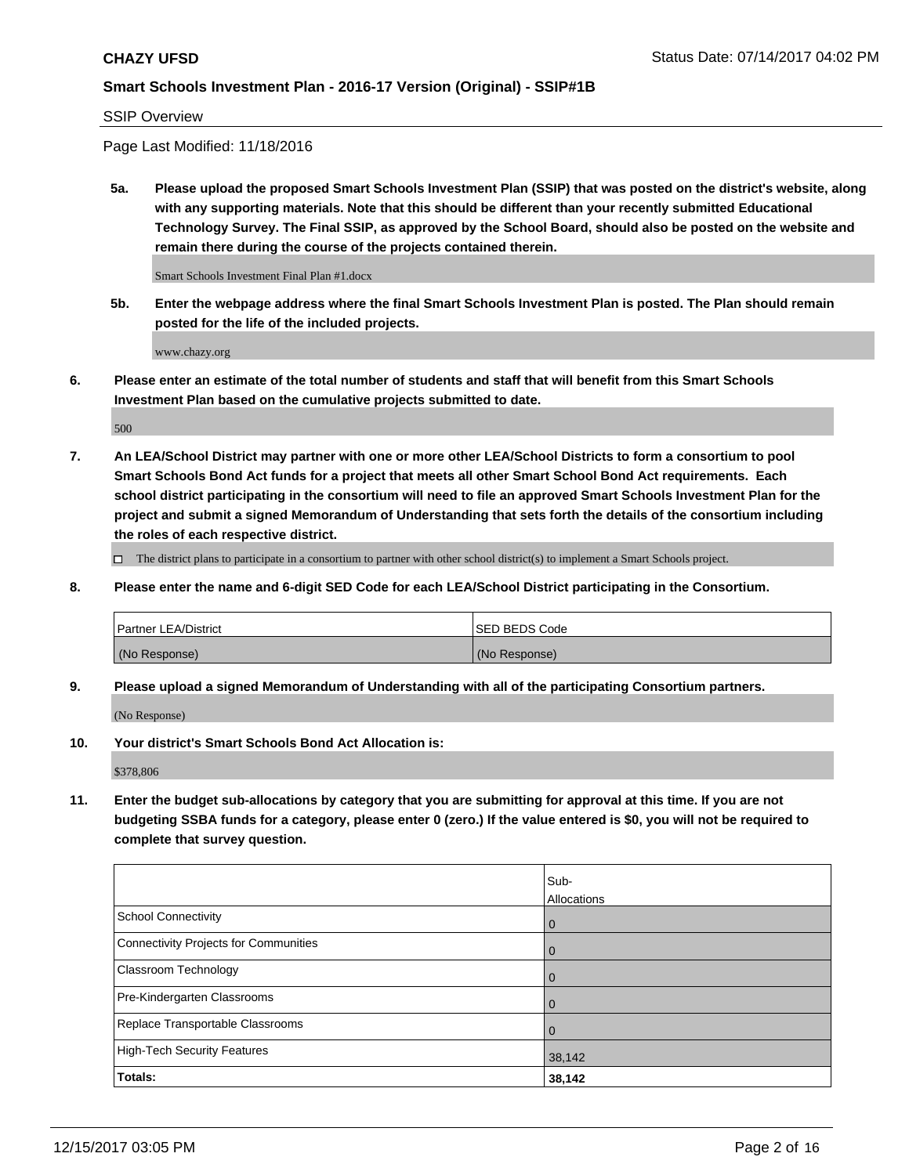SSIP Overview

Page Last Modified: 11/18/2016

**5a. Please upload the proposed Smart Schools Investment Plan (SSIP) that was posted on the district's website, along with any supporting materials. Note that this should be different than your recently submitted Educational Technology Survey. The Final SSIP, as approved by the School Board, should also be posted on the website and remain there during the course of the projects contained therein.**

Smart Schools Investment Final Plan #1.docx

**5b. Enter the webpage address where the final Smart Schools Investment Plan is posted. The Plan should remain posted for the life of the included projects.**

www.chazy.org

**6. Please enter an estimate of the total number of students and staff that will benefit from this Smart Schools Investment Plan based on the cumulative projects submitted to date.**

500

**7. An LEA/School District may partner with one or more other LEA/School Districts to form a consortium to pool Smart Schools Bond Act funds for a project that meets all other Smart School Bond Act requirements. Each school district participating in the consortium will need to file an approved Smart Schools Investment Plan for the project and submit a signed Memorandum of Understanding that sets forth the details of the consortium including the roles of each respective district.**

 $\Box$  The district plans to participate in a consortium to partner with other school district(s) to implement a Smart Schools project.

**8. Please enter the name and 6-digit SED Code for each LEA/School District participating in the Consortium.**

| <b>Partner LEA/District</b> | <b>ISED BEDS Code</b> |
|-----------------------------|-----------------------|
| (No Response)               | (No Response)         |

**9. Please upload a signed Memorandum of Understanding with all of the participating Consortium partners.**

(No Response)

**10. Your district's Smart Schools Bond Act Allocation is:**

\$378,806

**11. Enter the budget sub-allocations by category that you are submitting for approval at this time. If you are not budgeting SSBA funds for a category, please enter 0 (zero.) If the value entered is \$0, you will not be required to complete that survey question.**

|                                              | Sub-<br>Allocations |
|----------------------------------------------|---------------------|
|                                              |                     |
| <b>School Connectivity</b>                   | $\overline{0}$      |
| <b>Connectivity Projects for Communities</b> | 0                   |
| Classroom Technology                         | $\overline{0}$      |
| Pre-Kindergarten Classrooms                  | $\mathbf 0$         |
| Replace Transportable Classrooms             | $\Omega$            |
| <b>High-Tech Security Features</b>           | 38,142              |
| Totals:                                      | 38,142              |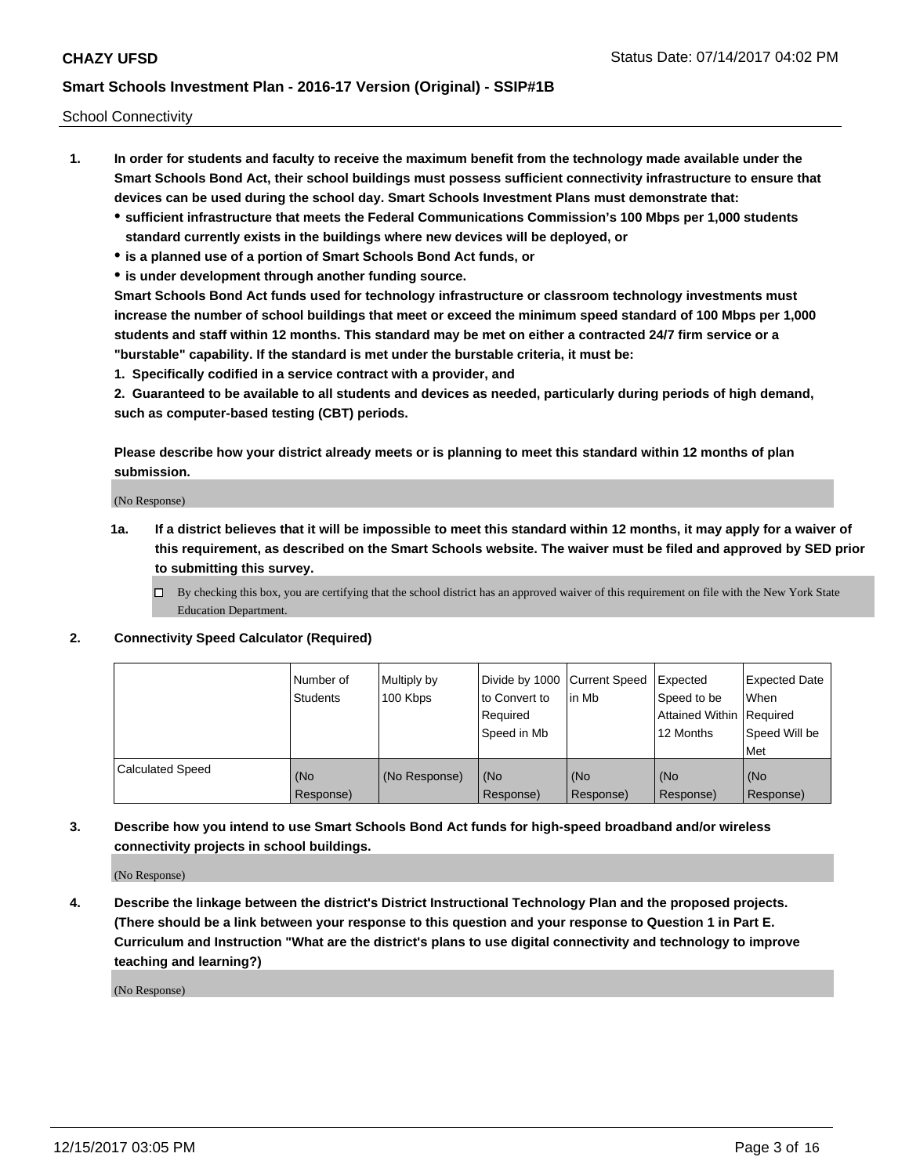School Connectivity

- **1. In order for students and faculty to receive the maximum benefit from the technology made available under the Smart Schools Bond Act, their school buildings must possess sufficient connectivity infrastructure to ensure that devices can be used during the school day. Smart Schools Investment Plans must demonstrate that:**
	- **sufficient infrastructure that meets the Federal Communications Commission's 100 Mbps per 1,000 students standard currently exists in the buildings where new devices will be deployed, or**
	- **is a planned use of a portion of Smart Schools Bond Act funds, or**
	- **is under development through another funding source.**

**Smart Schools Bond Act funds used for technology infrastructure or classroom technology investments must increase the number of school buildings that meet or exceed the minimum speed standard of 100 Mbps per 1,000 students and staff within 12 months. This standard may be met on either a contracted 24/7 firm service or a "burstable" capability. If the standard is met under the burstable criteria, it must be:**

**1. Specifically codified in a service contract with a provider, and**

**2. Guaranteed to be available to all students and devices as needed, particularly during periods of high demand, such as computer-based testing (CBT) periods.**

**Please describe how your district already meets or is planning to meet this standard within 12 months of plan submission.**

(No Response)

- **1a. If a district believes that it will be impossible to meet this standard within 12 months, it may apply for a waiver of this requirement, as described on the Smart Schools website. The waiver must be filed and approved by SED prior to submitting this survey.**
	- By checking this box, you are certifying that the school district has an approved waiver of this requirement on file with the New York State Education Department.

#### **2. Connectivity Speed Calculator (Required)**

|                         | Number of<br>Students | Multiply by<br>100 Kbps | Divide by 1000 Current Speed<br>to Convert to<br>Required<br>Speed in Mb | lin Mb           | Expected<br>Speed to be<br>Attained Within   Required<br>12 Months | <b>Expected Date</b><br>When<br>Speed Will be<br>l Met |
|-------------------------|-----------------------|-------------------------|--------------------------------------------------------------------------|------------------|--------------------------------------------------------------------|--------------------------------------------------------|
| <b>Calculated Speed</b> | (No<br>Response)      | (No Response)           | (No<br>Response)                                                         | (No<br>Response) | l (No<br>Response)                                                 | (No<br>Response)                                       |

**3. Describe how you intend to use Smart Schools Bond Act funds for high-speed broadband and/or wireless connectivity projects in school buildings.**

(No Response)

**4. Describe the linkage between the district's District Instructional Technology Plan and the proposed projects. (There should be a link between your response to this question and your response to Question 1 in Part E. Curriculum and Instruction "What are the district's plans to use digital connectivity and technology to improve teaching and learning?)**

(No Response)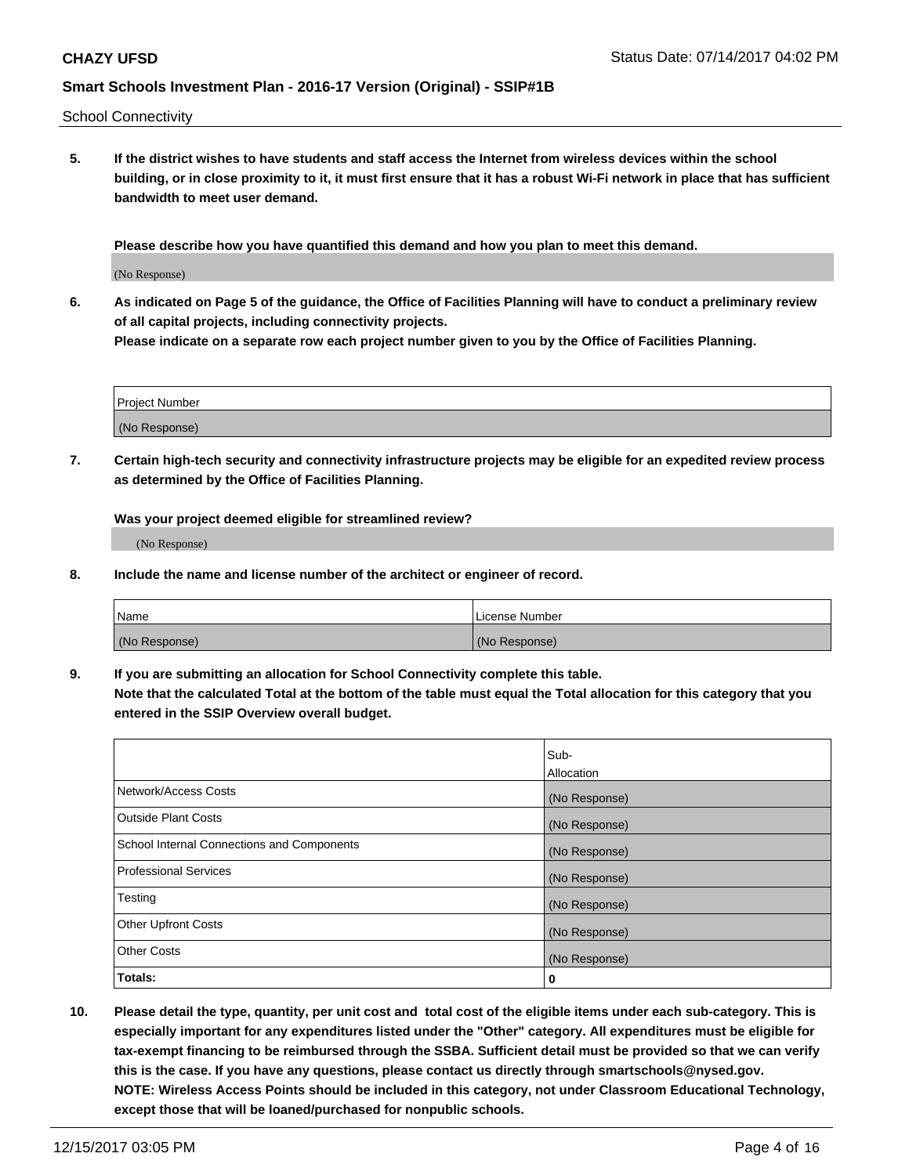School Connectivity

**5. If the district wishes to have students and staff access the Internet from wireless devices within the school building, or in close proximity to it, it must first ensure that it has a robust Wi-Fi network in place that has sufficient bandwidth to meet user demand.**

**Please describe how you have quantified this demand and how you plan to meet this demand.**

(No Response)

**6. As indicated on Page 5 of the guidance, the Office of Facilities Planning will have to conduct a preliminary review of all capital projects, including connectivity projects.**

**Please indicate on a separate row each project number given to you by the Office of Facilities Planning.**

| <b>Project Number</b> |  |
|-----------------------|--|
| (No Response)         |  |

**7. Certain high-tech security and connectivity infrastructure projects may be eligible for an expedited review process as determined by the Office of Facilities Planning.**

**Was your project deemed eligible for streamlined review?**

(No Response)

**8. Include the name and license number of the architect or engineer of record.**

| <b>Name</b>   | License Number |
|---------------|----------------|
| (No Response) | (No Response)  |

**9. If you are submitting an allocation for School Connectivity complete this table. Note that the calculated Total at the bottom of the table must equal the Total allocation for this category that you entered in the SSIP Overview overall budget.** 

|                                                   | Sub-              |
|---------------------------------------------------|-------------------|
|                                                   | <b>Allocation</b> |
| Network/Access Costs                              | (No Response)     |
| Outside Plant Costs                               | (No Response)     |
| <b>School Internal Connections and Components</b> | (No Response)     |
| <b>Professional Services</b>                      | (No Response)     |
| Testing                                           | (No Response)     |
| <b>Other Upfront Costs</b>                        | (No Response)     |
| <b>Other Costs</b>                                | (No Response)     |
| Totals:                                           | 0                 |

**10. Please detail the type, quantity, per unit cost and total cost of the eligible items under each sub-category. This is especially important for any expenditures listed under the "Other" category. All expenditures must be eligible for tax-exempt financing to be reimbursed through the SSBA. Sufficient detail must be provided so that we can verify this is the case. If you have any questions, please contact us directly through smartschools@nysed.gov. NOTE: Wireless Access Points should be included in this category, not under Classroom Educational Technology, except those that will be loaned/purchased for nonpublic schools.**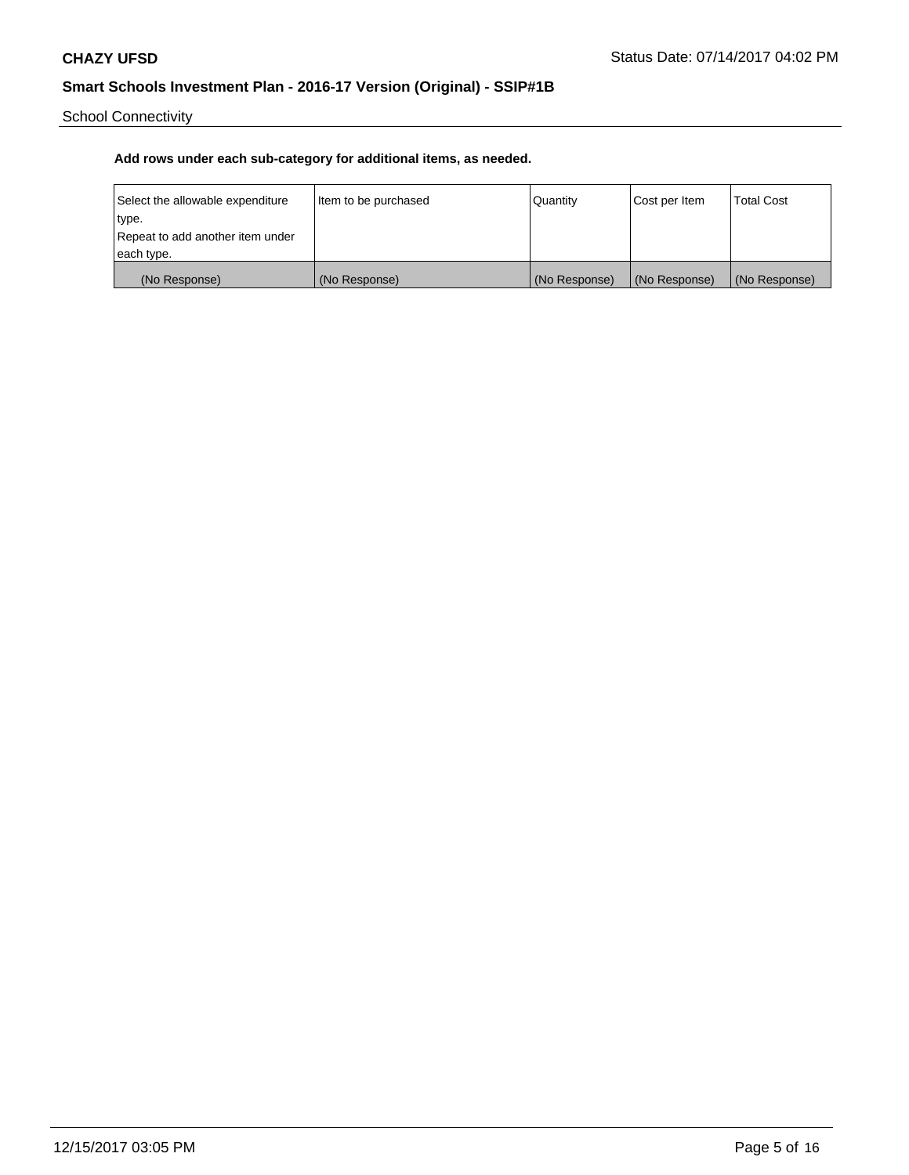School Connectivity

| Select the allowable expenditure | Item to be purchased | Quantity      | Cost per Item | <b>Total Cost</b> |
|----------------------------------|----------------------|---------------|---------------|-------------------|
| type.                            |                      |               |               |                   |
| Repeat to add another item under |                      |               |               |                   |
| each type.                       |                      |               |               |                   |
| (No Response)                    | (No Response)        | (No Response) | (No Response) | (No Response)     |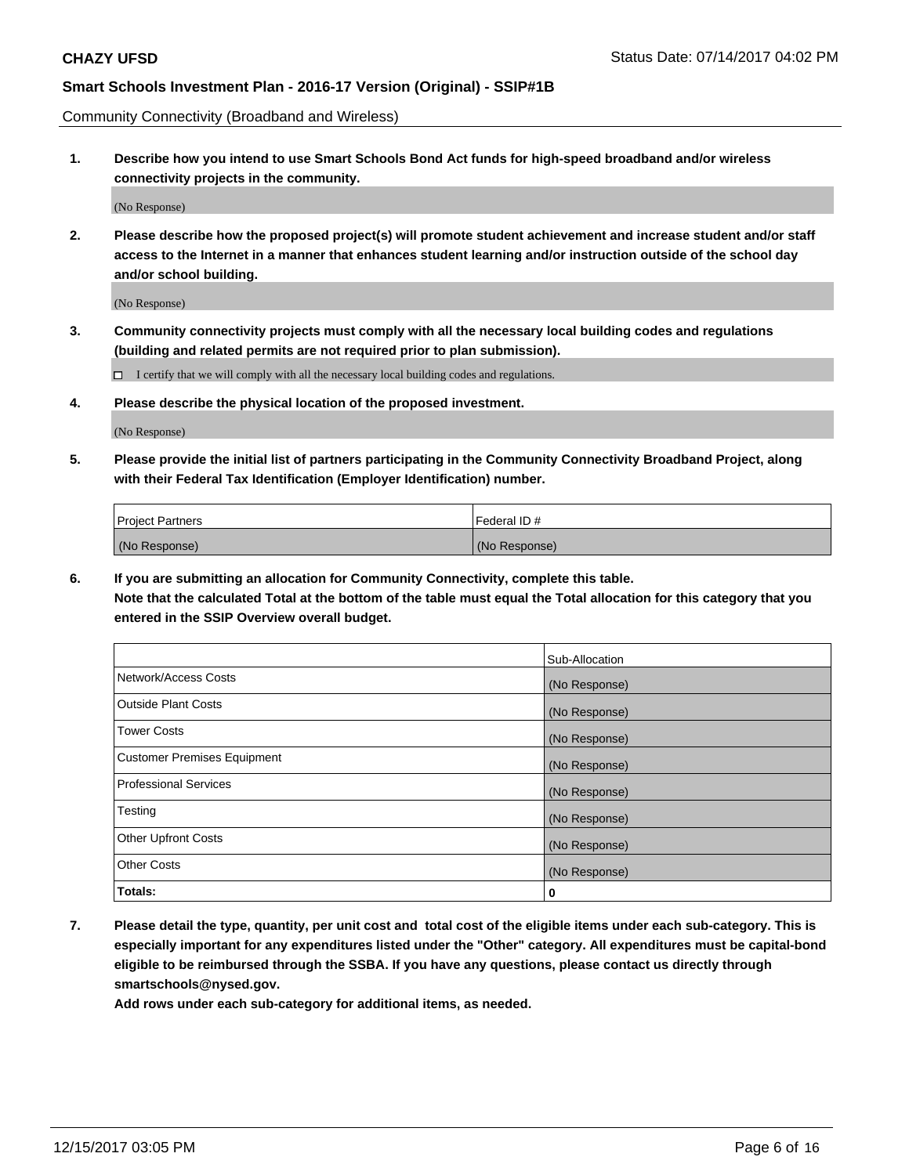Community Connectivity (Broadband and Wireless)

**1. Describe how you intend to use Smart Schools Bond Act funds for high-speed broadband and/or wireless connectivity projects in the community.**

(No Response)

**2. Please describe how the proposed project(s) will promote student achievement and increase student and/or staff access to the Internet in a manner that enhances student learning and/or instruction outside of the school day and/or school building.**

(No Response)

**3. Community connectivity projects must comply with all the necessary local building codes and regulations (building and related permits are not required prior to plan submission).**

 $\Box$  I certify that we will comply with all the necessary local building codes and regulations.

**4. Please describe the physical location of the proposed investment.**

(No Response)

**5. Please provide the initial list of partners participating in the Community Connectivity Broadband Project, along with their Federal Tax Identification (Employer Identification) number.**

| <b>Project Partners</b> | I Federal ID # |
|-------------------------|----------------|
| (No Response)           | (No Response)  |

**6. If you are submitting an allocation for Community Connectivity, complete this table.**

**Note that the calculated Total at the bottom of the table must equal the Total allocation for this category that you entered in the SSIP Overview overall budget.**

|                                    | Sub-Allocation |
|------------------------------------|----------------|
| Network/Access Costs               | (No Response)  |
| Outside Plant Costs                | (No Response)  |
| <b>Tower Costs</b>                 | (No Response)  |
| <b>Customer Premises Equipment</b> | (No Response)  |
| <b>Professional Services</b>       | (No Response)  |
| Testing                            | (No Response)  |
| <b>Other Upfront Costs</b>         | (No Response)  |
| <b>Other Costs</b>                 | (No Response)  |
| Totals:                            | 0              |

**7. Please detail the type, quantity, per unit cost and total cost of the eligible items under each sub-category. This is especially important for any expenditures listed under the "Other" category. All expenditures must be capital-bond eligible to be reimbursed through the SSBA. If you have any questions, please contact us directly through smartschools@nysed.gov.**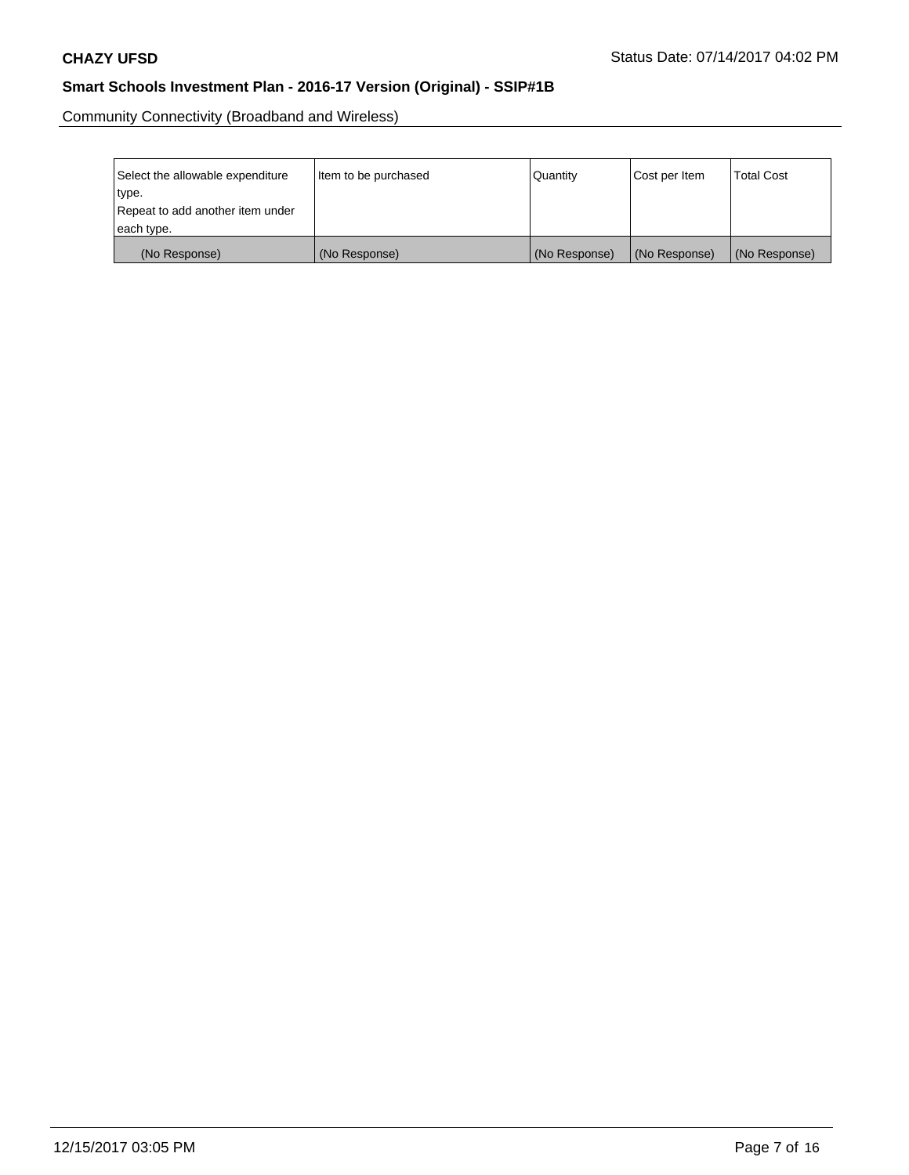Community Connectivity (Broadband and Wireless)

| Select the allowable expenditure | Item to be purchased | Quantity      | Cost per Item | <b>Total Cost</b> |
|----------------------------------|----------------------|---------------|---------------|-------------------|
| type.                            |                      |               |               |                   |
| Repeat to add another item under |                      |               |               |                   |
| each type.                       |                      |               |               |                   |
| (No Response)                    | (No Response)        | (No Response) | (No Response) | (No Response)     |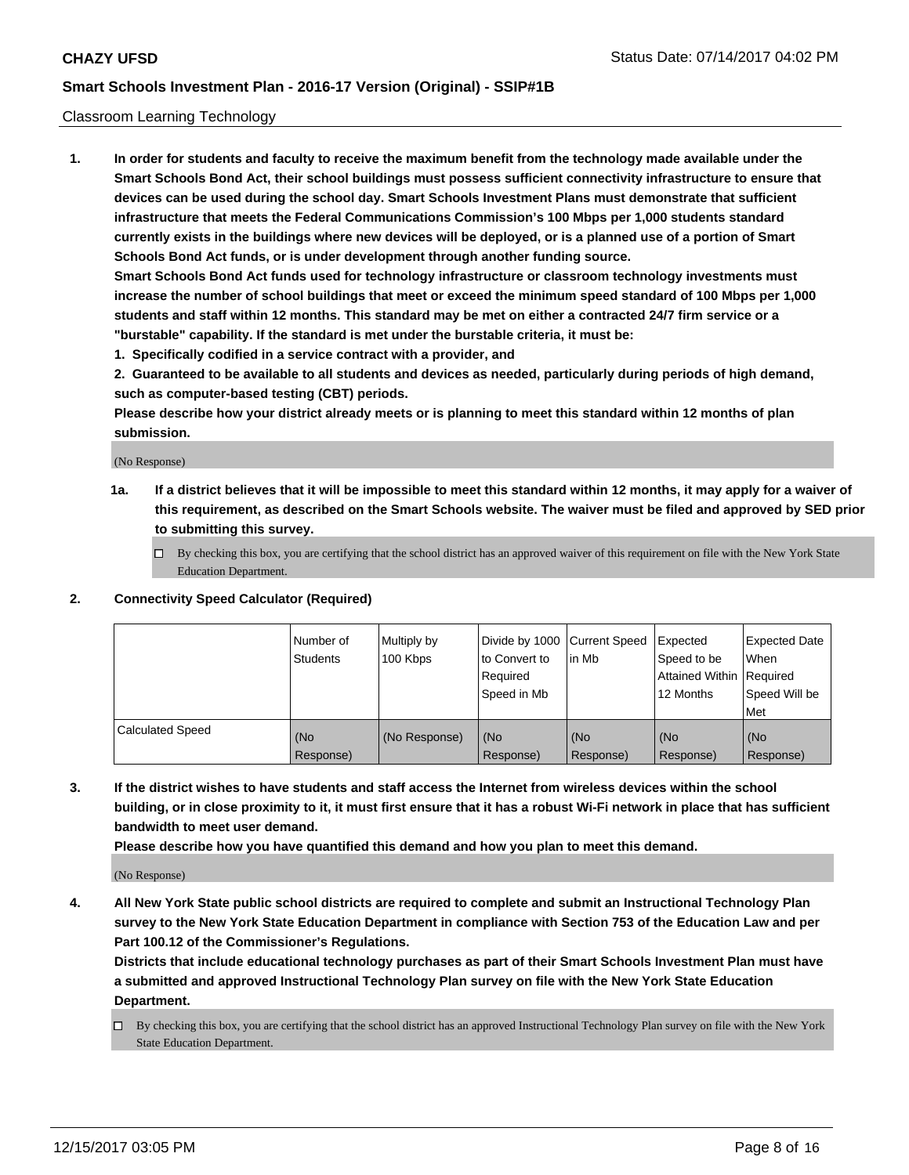#### Classroom Learning Technology

**1. In order for students and faculty to receive the maximum benefit from the technology made available under the Smart Schools Bond Act, their school buildings must possess sufficient connectivity infrastructure to ensure that devices can be used during the school day. Smart Schools Investment Plans must demonstrate that sufficient infrastructure that meets the Federal Communications Commission's 100 Mbps per 1,000 students standard currently exists in the buildings where new devices will be deployed, or is a planned use of a portion of Smart Schools Bond Act funds, or is under development through another funding source.**

**Smart Schools Bond Act funds used for technology infrastructure or classroom technology investments must increase the number of school buildings that meet or exceed the minimum speed standard of 100 Mbps per 1,000 students and staff within 12 months. This standard may be met on either a contracted 24/7 firm service or a "burstable" capability. If the standard is met under the burstable criteria, it must be:**

**1. Specifically codified in a service contract with a provider, and**

**2. Guaranteed to be available to all students and devices as needed, particularly during periods of high demand, such as computer-based testing (CBT) periods.**

**Please describe how your district already meets or is planning to meet this standard within 12 months of plan submission.**

(No Response)

- **1a. If a district believes that it will be impossible to meet this standard within 12 months, it may apply for a waiver of this requirement, as described on the Smart Schools website. The waiver must be filed and approved by SED prior to submitting this survey.**
	- By checking this box, you are certifying that the school district has an approved waiver of this requirement on file with the New York State Education Department.

#### **2. Connectivity Speed Calculator (Required)**

|                         | Number of<br>Students | Multiply by<br>100 Kbps | to Convert to<br>Required<br>Speed in Mb | Divide by 1000 Current Speed Expected<br>lin Mb | Speed to be<br>Attained Within Required<br>12 Months | <b>Expected Date</b><br>When<br>Speed Will be<br>Met |
|-------------------------|-----------------------|-------------------------|------------------------------------------|-------------------------------------------------|------------------------------------------------------|------------------------------------------------------|
| <b>Calculated Speed</b> | (No<br>Response)      | (No Response)           | (No<br>Response)                         | (No<br>Response)                                | (No<br>Response)                                     | (No<br>Response)                                     |

**3. If the district wishes to have students and staff access the Internet from wireless devices within the school building, or in close proximity to it, it must first ensure that it has a robust Wi-Fi network in place that has sufficient bandwidth to meet user demand.**

**Please describe how you have quantified this demand and how you plan to meet this demand.**

(No Response)

**4. All New York State public school districts are required to complete and submit an Instructional Technology Plan survey to the New York State Education Department in compliance with Section 753 of the Education Law and per Part 100.12 of the Commissioner's Regulations.**

**Districts that include educational technology purchases as part of their Smart Schools Investment Plan must have a submitted and approved Instructional Technology Plan survey on file with the New York State Education Department.**

By checking this box, you are certifying that the school district has an approved Instructional Technology Plan survey on file with the New York State Education Department.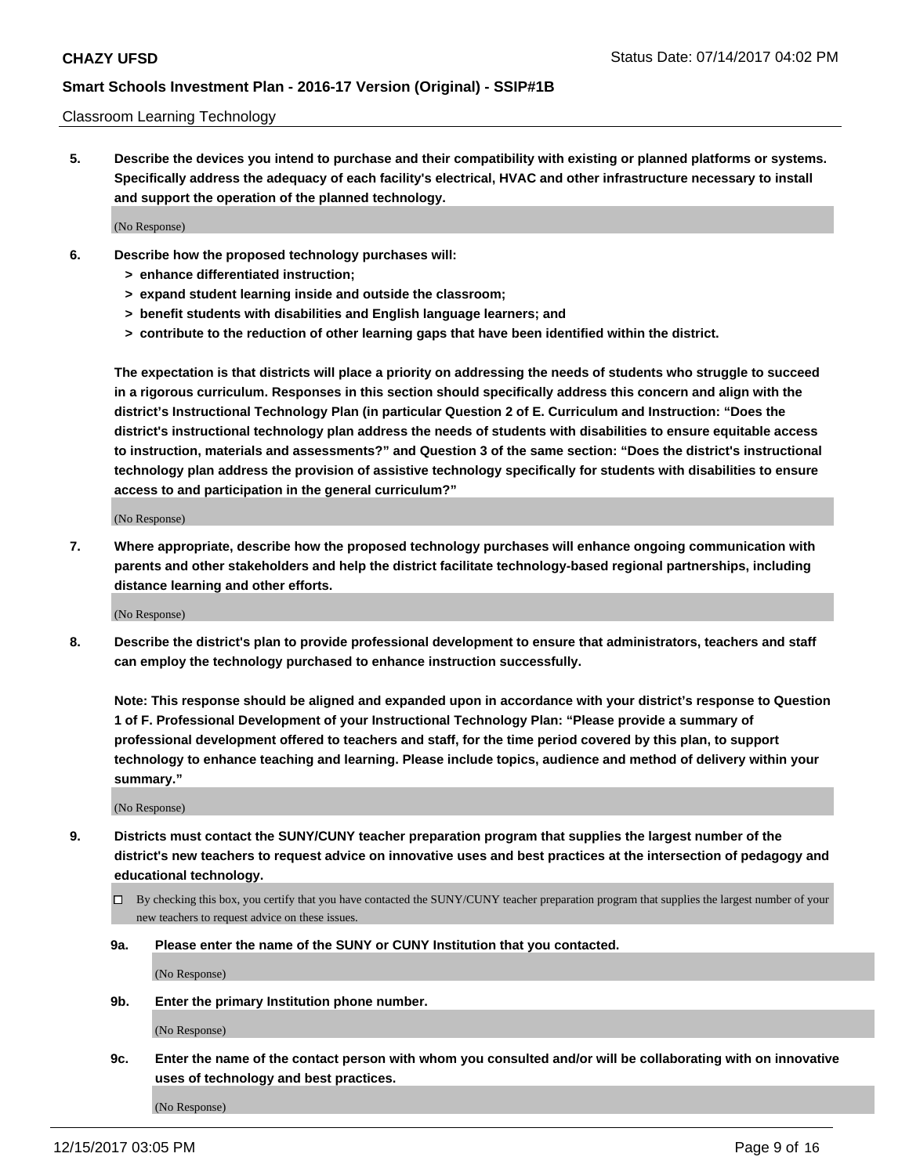#### Classroom Learning Technology

**5. Describe the devices you intend to purchase and their compatibility with existing or planned platforms or systems. Specifically address the adequacy of each facility's electrical, HVAC and other infrastructure necessary to install and support the operation of the planned technology.**

(No Response)

- **6. Describe how the proposed technology purchases will:**
	- **> enhance differentiated instruction;**
	- **> expand student learning inside and outside the classroom;**
	- **> benefit students with disabilities and English language learners; and**
	- **> contribute to the reduction of other learning gaps that have been identified within the district.**

**The expectation is that districts will place a priority on addressing the needs of students who struggle to succeed in a rigorous curriculum. Responses in this section should specifically address this concern and align with the district's Instructional Technology Plan (in particular Question 2 of E. Curriculum and Instruction: "Does the district's instructional technology plan address the needs of students with disabilities to ensure equitable access to instruction, materials and assessments?" and Question 3 of the same section: "Does the district's instructional technology plan address the provision of assistive technology specifically for students with disabilities to ensure access to and participation in the general curriculum?"**

(No Response)

**7. Where appropriate, describe how the proposed technology purchases will enhance ongoing communication with parents and other stakeholders and help the district facilitate technology-based regional partnerships, including distance learning and other efforts.**

(No Response)

**8. Describe the district's plan to provide professional development to ensure that administrators, teachers and staff can employ the technology purchased to enhance instruction successfully.**

**Note: This response should be aligned and expanded upon in accordance with your district's response to Question 1 of F. Professional Development of your Instructional Technology Plan: "Please provide a summary of professional development offered to teachers and staff, for the time period covered by this plan, to support technology to enhance teaching and learning. Please include topics, audience and method of delivery within your summary."**

(No Response)

- **9. Districts must contact the SUNY/CUNY teacher preparation program that supplies the largest number of the district's new teachers to request advice on innovative uses and best practices at the intersection of pedagogy and educational technology.**
	- By checking this box, you certify that you have contacted the SUNY/CUNY teacher preparation program that supplies the largest number of your new teachers to request advice on these issues.
	- **9a. Please enter the name of the SUNY or CUNY Institution that you contacted.**

(No Response)

**9b. Enter the primary Institution phone number.**

(No Response)

**9c. Enter the name of the contact person with whom you consulted and/or will be collaborating with on innovative uses of technology and best practices.**

(No Response)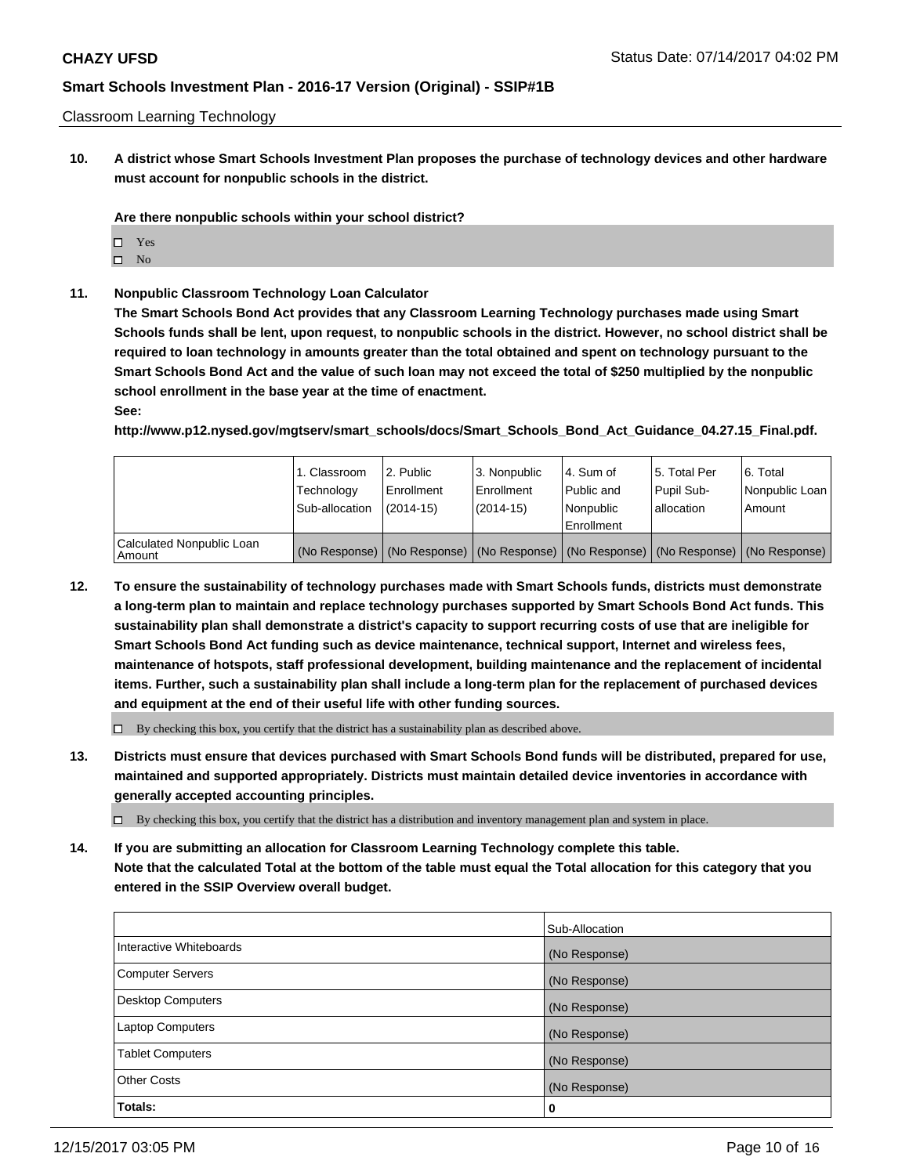Classroom Learning Technology

**10. A district whose Smart Schools Investment Plan proposes the purchase of technology devices and other hardware must account for nonpublic schools in the district.**

**Are there nonpublic schools within your school district?**

- □ Yes
- $\square$  No
- **11. Nonpublic Classroom Technology Loan Calculator**

**The Smart Schools Bond Act provides that any Classroom Learning Technology purchases made using Smart Schools funds shall be lent, upon request, to nonpublic schools in the district. However, no school district shall be required to loan technology in amounts greater than the total obtained and spent on technology pursuant to the Smart Schools Bond Act and the value of such loan may not exceed the total of \$250 multiplied by the nonpublic school enrollment in the base year at the time of enactment.**

#### **See:**

**http://www.p12.nysed.gov/mgtserv/smart\_schools/docs/Smart\_Schools\_Bond\_Act\_Guidance\_04.27.15\_Final.pdf.**

|                                     | 1. Classroom<br>Technology<br>Sub-allocation | 2. Public<br>Enrollment<br>(2014-15) | 3. Nonpublic<br>Enrollment<br>(2014-15) | l 4. Sum of<br>Public and<br>l Nonpublic<br>Enrollment                                        | 15. Total Per<br>Pupil Sub-<br>l allocation | l 6. Total<br>Nonpublic Loan<br>l Amount |
|-------------------------------------|----------------------------------------------|--------------------------------------|-----------------------------------------|-----------------------------------------------------------------------------------------------|---------------------------------------------|------------------------------------------|
| Calculated Nonpublic Loan<br>Amount |                                              |                                      |                                         | (No Response)   (No Response)   (No Response)   (No Response)   (No Response)   (No Response) |                                             |                                          |

**12. To ensure the sustainability of technology purchases made with Smart Schools funds, districts must demonstrate a long-term plan to maintain and replace technology purchases supported by Smart Schools Bond Act funds. This sustainability plan shall demonstrate a district's capacity to support recurring costs of use that are ineligible for Smart Schools Bond Act funding such as device maintenance, technical support, Internet and wireless fees, maintenance of hotspots, staff professional development, building maintenance and the replacement of incidental items. Further, such a sustainability plan shall include a long-term plan for the replacement of purchased devices and equipment at the end of their useful life with other funding sources.**

 $\Box$  By checking this box, you certify that the district has a sustainability plan as described above.

**13. Districts must ensure that devices purchased with Smart Schools Bond funds will be distributed, prepared for use, maintained and supported appropriately. Districts must maintain detailed device inventories in accordance with generally accepted accounting principles.**

By checking this box, you certify that the district has a distribution and inventory management plan and system in place.

**14. If you are submitting an allocation for Classroom Learning Technology complete this table. Note that the calculated Total at the bottom of the table must equal the Total allocation for this category that you entered in the SSIP Overview overall budget.**

|                          | Sub-Allocation |
|--------------------------|----------------|
| Interactive Whiteboards  | (No Response)  |
| <b>Computer Servers</b>  | (No Response)  |
| <b>Desktop Computers</b> | (No Response)  |
| <b>Laptop Computers</b>  | (No Response)  |
| <b>Tablet Computers</b>  | (No Response)  |
| Other Costs              | (No Response)  |
| Totals:                  | 0              |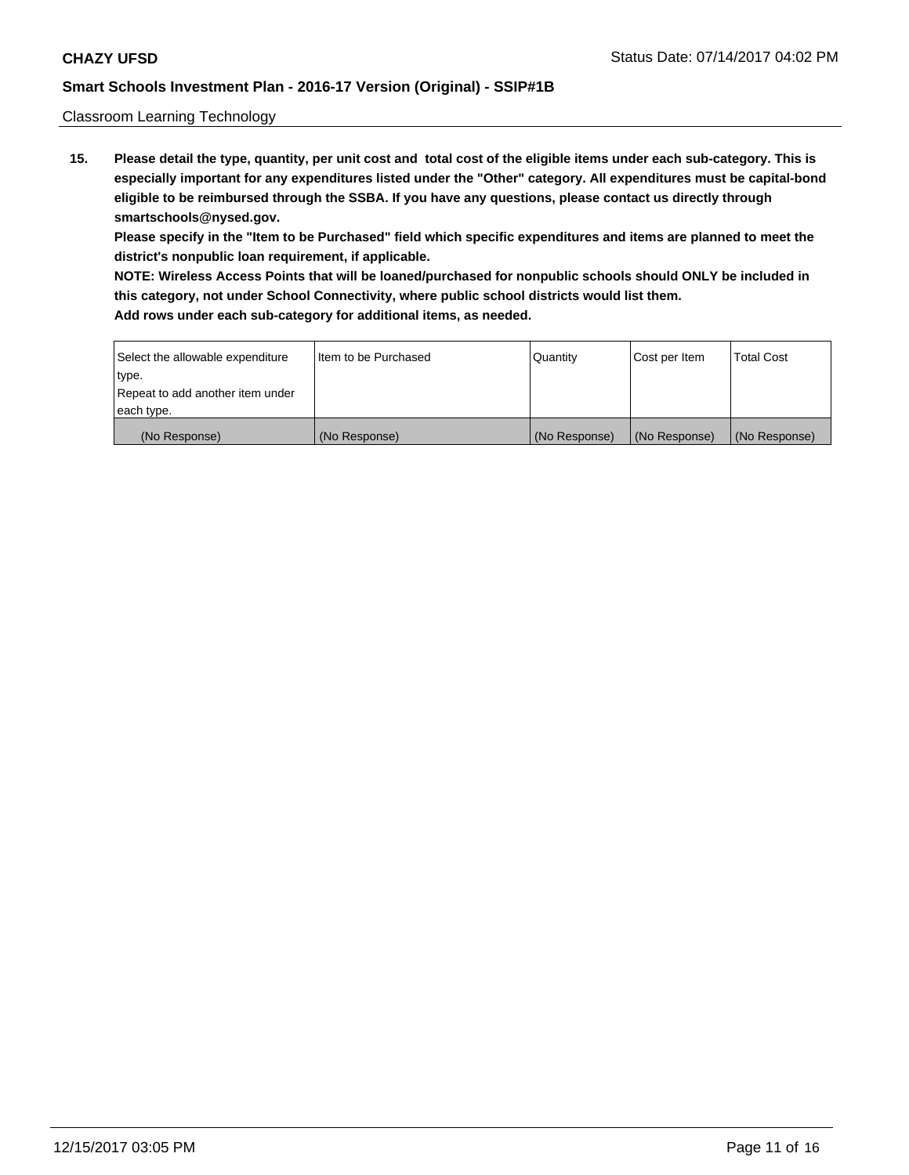Classroom Learning Technology

**15. Please detail the type, quantity, per unit cost and total cost of the eligible items under each sub-category. This is especially important for any expenditures listed under the "Other" category. All expenditures must be capital-bond eligible to be reimbursed through the SSBA. If you have any questions, please contact us directly through smartschools@nysed.gov.**

**Please specify in the "Item to be Purchased" field which specific expenditures and items are planned to meet the district's nonpublic loan requirement, if applicable.**

**NOTE: Wireless Access Points that will be loaned/purchased for nonpublic schools should ONLY be included in this category, not under School Connectivity, where public school districts would list them.**

| Select the allowable expenditure | I Item to be Purchased | Quantity      | Cost per Item | <b>Total Cost</b> |
|----------------------------------|------------------------|---------------|---------------|-------------------|
| type.                            |                        |               |               |                   |
| Repeat to add another item under |                        |               |               |                   |
| each type.                       |                        |               |               |                   |
| (No Response)                    | (No Response)          | (No Response) | (No Response) | (No Response)     |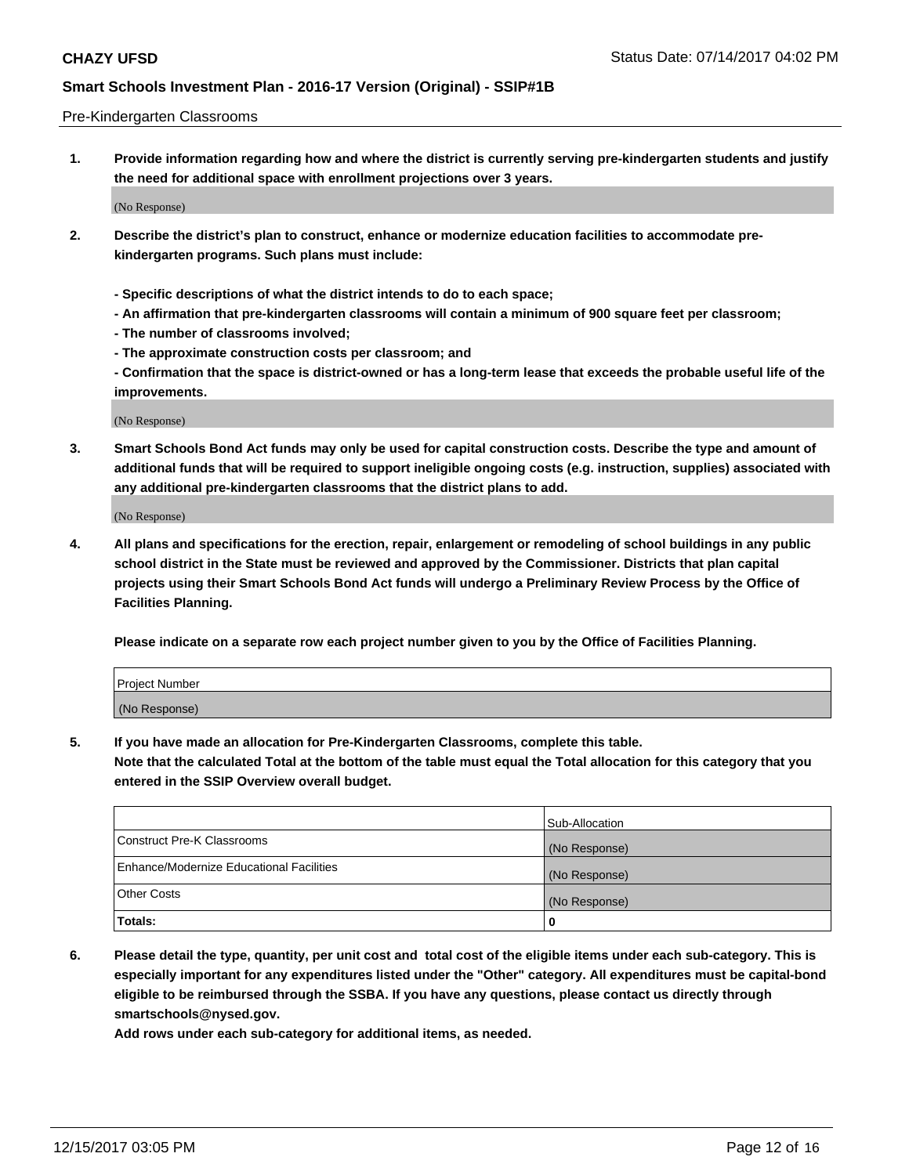#### Pre-Kindergarten Classrooms

**1. Provide information regarding how and where the district is currently serving pre-kindergarten students and justify the need for additional space with enrollment projections over 3 years.**

(No Response)

- **2. Describe the district's plan to construct, enhance or modernize education facilities to accommodate prekindergarten programs. Such plans must include:**
	- **Specific descriptions of what the district intends to do to each space;**
	- **An affirmation that pre-kindergarten classrooms will contain a minimum of 900 square feet per classroom;**
	- **The number of classrooms involved;**
	- **The approximate construction costs per classroom; and**
	- **Confirmation that the space is district-owned or has a long-term lease that exceeds the probable useful life of the improvements.**

(No Response)

**3. Smart Schools Bond Act funds may only be used for capital construction costs. Describe the type and amount of additional funds that will be required to support ineligible ongoing costs (e.g. instruction, supplies) associated with any additional pre-kindergarten classrooms that the district plans to add.**

(No Response)

**4. All plans and specifications for the erection, repair, enlargement or remodeling of school buildings in any public school district in the State must be reviewed and approved by the Commissioner. Districts that plan capital projects using their Smart Schools Bond Act funds will undergo a Preliminary Review Process by the Office of Facilities Planning.**

**Please indicate on a separate row each project number given to you by the Office of Facilities Planning.**

| Project Number |  |
|----------------|--|
| (No Response)  |  |

**5. If you have made an allocation for Pre-Kindergarten Classrooms, complete this table.**

**Note that the calculated Total at the bottom of the table must equal the Total allocation for this category that you entered in the SSIP Overview overall budget.**

|                                          | Sub-Allocation |
|------------------------------------------|----------------|
| Construct Pre-K Classrooms               | (No Response)  |
| Enhance/Modernize Educational Facilities | (No Response)  |
| Other Costs                              | (No Response)  |
| Totals:                                  | 0              |

**6. Please detail the type, quantity, per unit cost and total cost of the eligible items under each sub-category. This is especially important for any expenditures listed under the "Other" category. All expenditures must be capital-bond eligible to be reimbursed through the SSBA. If you have any questions, please contact us directly through smartschools@nysed.gov.**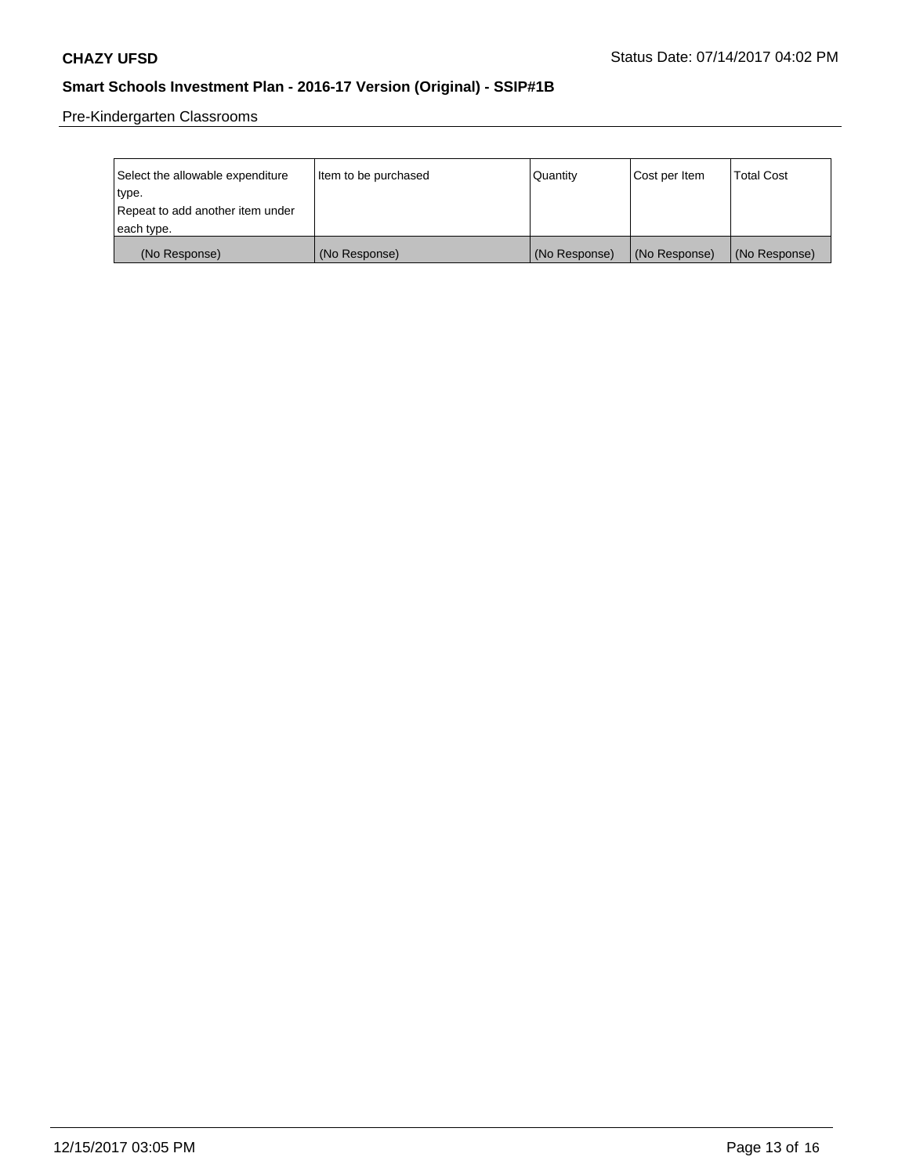Pre-Kindergarten Classrooms

| Select the allowable expenditure | Item to be purchased | Quantity      | Cost per Item | <b>Total Cost</b> |
|----------------------------------|----------------------|---------------|---------------|-------------------|
| type.                            |                      |               |               |                   |
| Repeat to add another item under |                      |               |               |                   |
| each type.                       |                      |               |               |                   |
| (No Response)                    | (No Response)        | (No Response) | (No Response) | (No Response)     |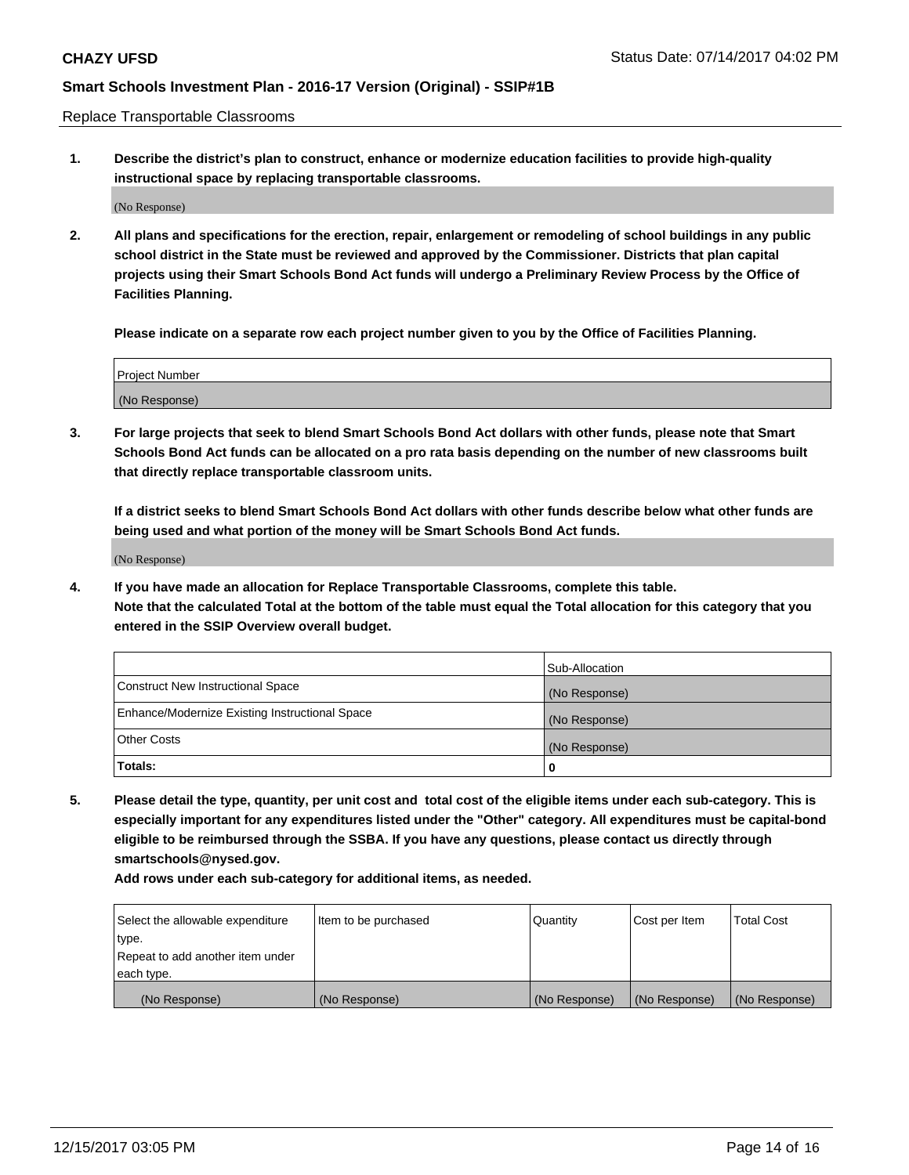Replace Transportable Classrooms

**1. Describe the district's plan to construct, enhance or modernize education facilities to provide high-quality instructional space by replacing transportable classrooms.**

(No Response)

**2. All plans and specifications for the erection, repair, enlargement or remodeling of school buildings in any public school district in the State must be reviewed and approved by the Commissioner. Districts that plan capital projects using their Smart Schools Bond Act funds will undergo a Preliminary Review Process by the Office of Facilities Planning.**

**Please indicate on a separate row each project number given to you by the Office of Facilities Planning.**

| Project Number |  |
|----------------|--|
|                |  |
|                |  |
|                |  |
| (No Response)  |  |
|                |  |
|                |  |

**3. For large projects that seek to blend Smart Schools Bond Act dollars with other funds, please note that Smart Schools Bond Act funds can be allocated on a pro rata basis depending on the number of new classrooms built that directly replace transportable classroom units.**

**If a district seeks to blend Smart Schools Bond Act dollars with other funds describe below what other funds are being used and what portion of the money will be Smart Schools Bond Act funds.**

(No Response)

**4. If you have made an allocation for Replace Transportable Classrooms, complete this table. Note that the calculated Total at the bottom of the table must equal the Total allocation for this category that you entered in the SSIP Overview overall budget.**

|                                                | Sub-Allocation |
|------------------------------------------------|----------------|
| Construct New Instructional Space              | (No Response)  |
| Enhance/Modernize Existing Instructional Space | (No Response)  |
| Other Costs                                    | (No Response)  |
| Totals:                                        | 0              |

**5. Please detail the type, quantity, per unit cost and total cost of the eligible items under each sub-category. This is especially important for any expenditures listed under the "Other" category. All expenditures must be capital-bond eligible to be reimbursed through the SSBA. If you have any questions, please contact us directly through smartschools@nysed.gov.**

| Select the allowable expenditure | Item to be purchased | Quantity      | Cost per Item | Total Cost    |
|----------------------------------|----------------------|---------------|---------------|---------------|
| type.                            |                      |               |               |               |
| Repeat to add another item under |                      |               |               |               |
| each type.                       |                      |               |               |               |
| (No Response)                    | (No Response)        | (No Response) | (No Response) | (No Response) |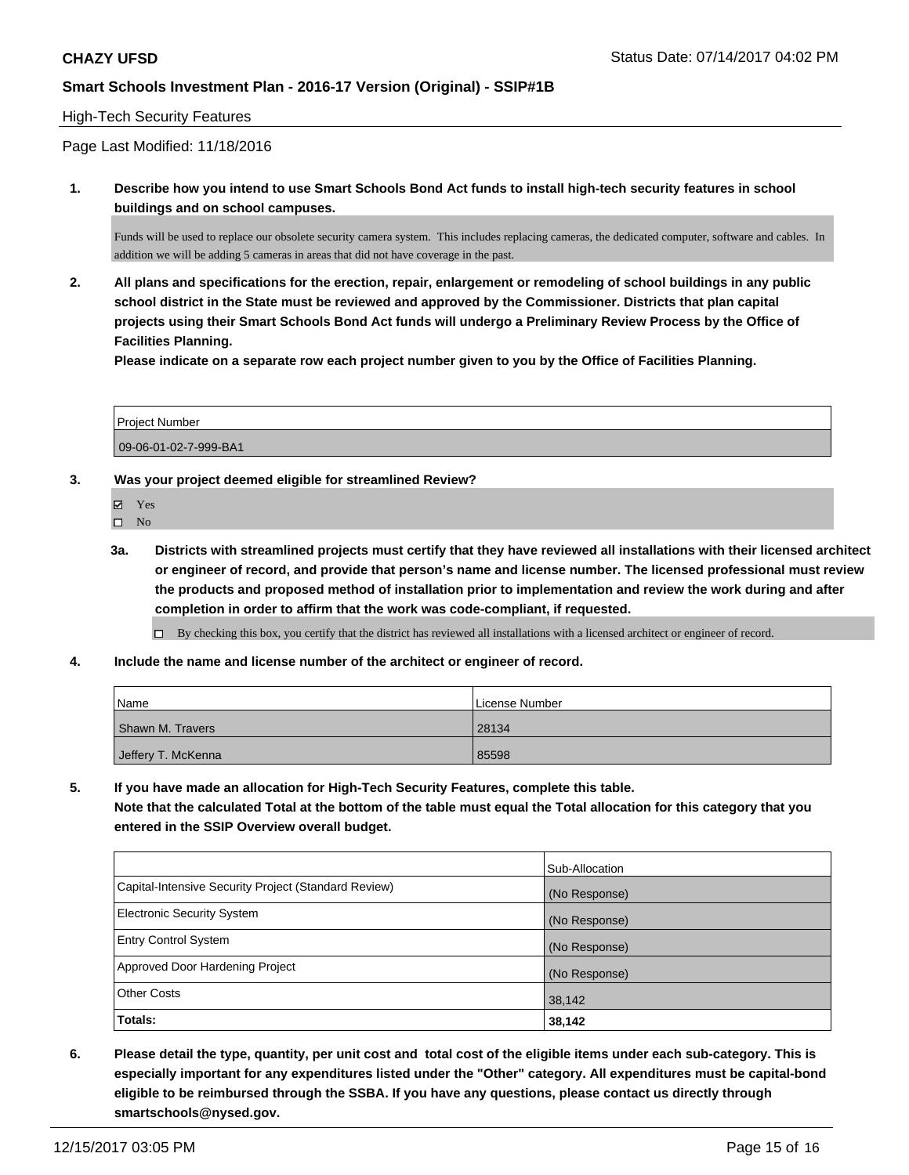#### High-Tech Security Features

### Page Last Modified: 11/18/2016

**1. Describe how you intend to use Smart Schools Bond Act funds to install high-tech security features in school buildings and on school campuses.**

Funds will be used to replace our obsolete security camera system. This includes replacing cameras, the dedicated computer, software and cables. In addition we will be adding 5 cameras in areas that did not have coverage in the past.

**2. All plans and specifications for the erection, repair, enlargement or remodeling of school buildings in any public school district in the State must be reviewed and approved by the Commissioner. Districts that plan capital projects using their Smart Schools Bond Act funds will undergo a Preliminary Review Process by the Office of Facilities Planning.** 

**Please indicate on a separate row each project number given to you by the Office of Facilities Planning.**

| <b>Project Number</b> |  |
|-----------------------|--|
| 09-06-01-02-7-999-BA1 |  |

**3. Was your project deemed eligible for streamlined Review?**

Yes  $\square$  No

**3a. Districts with streamlined projects must certify that they have reviewed all installations with their licensed architect or engineer of record, and provide that person's name and license number. The licensed professional must review the products and proposed method of installation prior to implementation and review the work during and after completion in order to affirm that the work was code-compliant, if requested.**

By checking this box, you certify that the district has reviewed all installations with a licensed architect or engineer of record.

**4. Include the name and license number of the architect or engineer of record.**

| <b>Name</b>        | License Number |
|--------------------|----------------|
| Shawn M. Travers   | 28134          |
| Jeffery T. McKenna | 85598          |

**5. If you have made an allocation for High-Tech Security Features, complete this table. Note that the calculated Total at the bottom of the table must equal the Total allocation for this category that you entered in the SSIP Overview overall budget.**

|                                                      | Sub-Allocation |
|------------------------------------------------------|----------------|
| Capital-Intensive Security Project (Standard Review) | (No Response)  |
| <b>Electronic Security System</b>                    | (No Response)  |
| <b>Entry Control System</b>                          | (No Response)  |
| Approved Door Hardening Project                      | (No Response)  |
| <b>Other Costs</b>                                   | 38,142         |
| Totals:                                              | 38,142         |

**6. Please detail the type, quantity, per unit cost and total cost of the eligible items under each sub-category. This is especially important for any expenditures listed under the "Other" category. All expenditures must be capital-bond eligible to be reimbursed through the SSBA. If you have any questions, please contact us directly through smartschools@nysed.gov.**